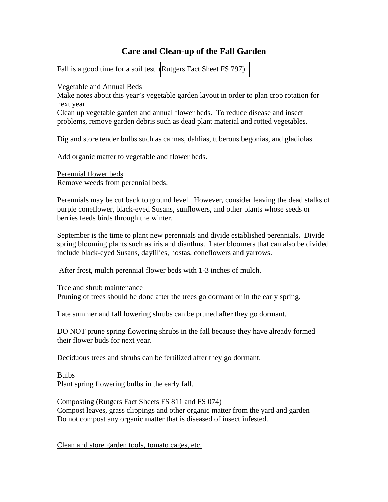## **Care and Clean-up of the Fall Garden**

Fall is a good time for a soil test. [\(Rutgers Fact Sheet FS 797\)](http://docs.google.com/viewer?a=v&q=cache:rTiodQKRRHQJ:njaes.rutgers.edu/pubs/download-free.asp%3FstrPubID%3DFS839+fs+797&hl=en&gl=us&pid=bl&srcid=ADGEESgi-yzVy7hNNGqiaTpQVr_H1VLtZRutCOmCFg_0m-n1enCrNnJHkHeqHtwIL3ObUU9tJc_Cg3E40k2A1E9MVl2n0pM2oFJSmFoSbEAp6Y8D2ehi1A0eEjUG_reSzvBHkFpKLgUl&sig=AHIEtbTOcbAbsE8XLmwAlcBz7OMtOOUnjA) 

Vegetable and Annual Beds

Make notes about this year's vegetable garden layout in order to plan crop rotation for next year.

Clean up vegetable garden and annual flower beds. To reduce disease and insect problems, remove garden debris such as dead plant material and rotted vegetables.

Dig and store tender bulbs such as cannas, dahlias, tuberous begonias, and gladiolas.

Add organic matter to vegetable and flower beds.

Perennial flower beds Remove weeds from perennial beds.

Perennials may be cut back to ground level. However, consider leaving the dead stalks of purple coneflower, black-eyed Susans, sunflowers, and other plants whose seeds or berries feeds birds through the winter.

September is the time to plant new perennials and divide established perennials**.** Divide spring blooming plants such as iris and dianthus. Later bloomers that can also be divided include black-eyed Susans, daylilies, hostas, coneflowers and yarrows.

After frost, mulch perennial flower beds with 1-3 inches of mulch.

Tree and shrub maintenance

Pruning of trees should be done after the trees go dormant or in the early spring.

Late summer and fall lowering shrubs can be pruned after they go dormant.

DO NOT prune spring flowering shrubs in the fall because they have already formed their flower buds for next year.

Deciduous trees and shrubs can be fertilized after they go dormant.

Bulbs Plant spring flowering bulbs in the early fall.

Composting (Rutgers Fact Sheets FS 811 and FS 074) Compost leaves, grass clippings and other organic matter from the yard and garden Do not compost any organic matter that is diseased of insect infested.

Clean and store garden tools, tomato cages, etc.